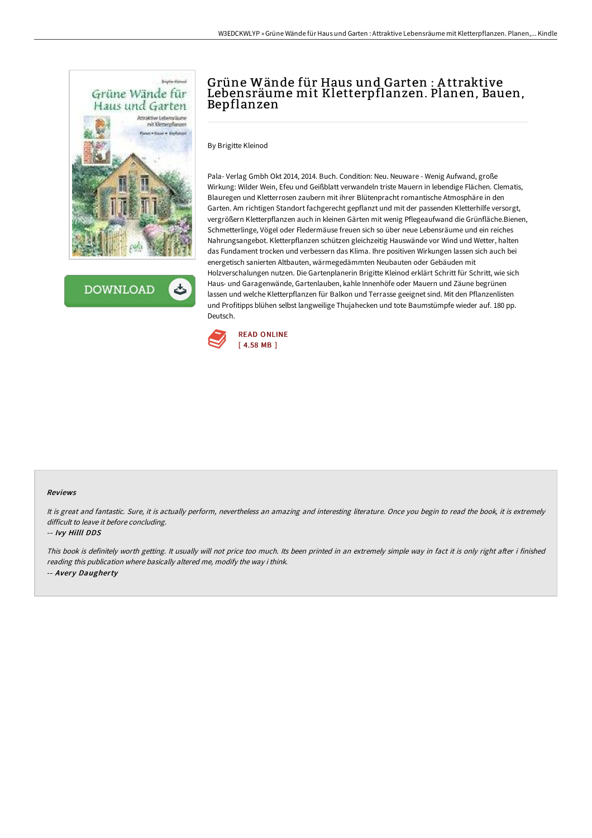

**DOWNLOAD** 

# Grüne Wände für Haus und Garten : A ttraktive Lebensräume mit Kletterpflanzen. Planen, Bauen, Bepflanzen

By Brigitte Kleinod

Pala- Verlag Gmbh Okt 2014, 2014. Buch. Condition: Neu. Neuware - Wenig Aufwand, große Wirkung: Wilder Wein, Efeu und Geißblatt verwandeln triste Mauern in lebendige Flächen. Clematis, Blauregen und Kletterrosen zaubern mit ihrer Blütenpracht romantische Atmosphäre in den Garten. Am richtigen Standort fachgerecht gepflanzt und mit der passenden Kletterhilfe versorgt, vergrößern Kletterpflanzen auch in kleinen Gärten mit wenig Pflegeaufwand die Grünfläche.Bienen, Schmetterlinge, Vögel oder Fledermäuse freuen sich so über neue Lebensräume und ein reiches Nahrungsangebot. Kletterpflanzen schützen gleichzeitig Hauswände vor Wind und Wetter, halten das Fundament trocken und verbessern das Klima. Ihre positiven Wirkungen lassen sich auch bei energetisch sanierten Altbauten, wärmegedämmten Neubauten oder Gebäuden mit Holzverschalungen nutzen. Die Gartenplanerin Brigitte Kleinod erklärt Schritt für Schritt, wie sich Haus- und Garagenwände, Gartenlauben, kahle Innenhöfe oder Mauern und Zäune begrünen lassen und welche Kletterpflanzen für Balkon und Terrasse geeignet sind. Mit den Pflanzenlisten und Profitipps blühen selbst langweilige Thujahecken und tote Baumstümpfe wieder auf. 180 pp. Deutsch.



#### Reviews

It is great and fantastic. Sure, it is actually perform, nevertheless an amazing and interesting literature. Once you begin to read the book, it is extremely difficult to leave it before concluding.

### -- Ivy Hilll DDS

This book is definitely worth getting. It usually will not price too much. Its been printed in an extremely simple way in fact it is only right after i finished reading this publication where basically altered me, modify the way i think. -- Avery Daugherty